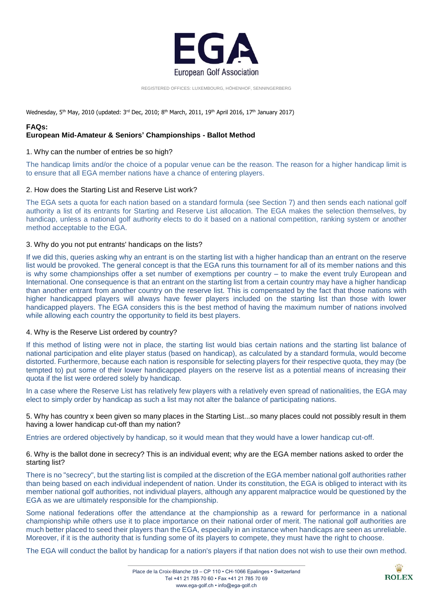

REGISTERED OFFICES: LUXEMBOURG, HÖHENHOF, SENNINGERBERG

Wednesday, 5<sup>th</sup> May, 2010 (updated: 3<sup>rd</sup> Dec, 2010; 8<sup>th</sup> March, 2011, 19<sup>th</sup> April 2016, 17<sup>th</sup> January 2017)

## **FAQs:**

# **European Mid-Amateur & Seniors' Championships - Ballot Method**

## 1. Why can the number of entries be so high?

The handicap limits and/or the choice of a popular venue can be the reason. The reason for a higher handicap limit is to ensure that all EGA member nations have a chance of entering players.

# 2. How does the Starting List and Reserve List work?

The EGA sets a quota for each nation based on a standard formula (see Section 7) and then sends each national golf authority a list of its entrants for Starting and Reserve List allocation. The EGA makes the selection themselves, by handicap, unless a national golf authority elects to do it based on a national competition, ranking system or another method acceptable to the EGA.

# 3. Why do you not put entrants' handicaps on the lists?

If we did this, queries asking why an entrant is on the starting list with a higher handicap than an entrant on the reserve list would be provoked. The general concept is that the EGA runs this tournament for all of its member nations and this is why some championships offer a set number of exemptions per country – to make the event truly European and International. One consequence is that an entrant on the starting list from a certain country may have a higher handicap than another entrant from another country on the reserve list. This is compensated by the fact that those nations with higher handicapped players will always have fewer players included on the starting list than those with lower handicapped players. The EGA considers this is the best method of having the maximum number of nations involved while allowing each country the opportunity to field its best players.

#### 4. Why is the Reserve List ordered by country?

If this method of listing were not in place, the starting list would bias certain nations and the starting list balance of national participation and elite player status (based on handicap), as calculated by a standard formula, would become distorted. Furthermore, because each nation is responsible for selecting players for their respective quota, they may (be tempted to) put some of their lower handicapped players on the reserve list as a potential means of increasing their quota if the list were ordered solely by handicap.

In a case where the Reserve List has relatively few players with a relatively even spread of nationalities, the EGA may elect to simply order by handicap as such a list may not alter the balance of participating nations.

5. Why has country x been given so many places in the Starting List...so many places could not possibly result in them having a lower handicap cut-off than my nation?

Entries are ordered objectively by handicap, so it would mean that they would have a lower handicap cut-off.

6. Why is the ballot done in secrecy? This is an individual event; why are the EGA member nations asked to order the starting list?

There is no "secrecy", but the starting list is compiled at the discretion of the EGA member national golf authorities rather than being based on each individual independent of nation. Under its constitution, the EGA is obliged to interact with its member national golf authorities, not individual players, although any apparent malpractice would be questioned by the EGA as we are ultimately responsible for the championship.

Some national federations offer the attendance at the championship as a reward for performance in a national championship while others use it to place importance on their national order of merit. The national golf authorities are much better placed to seed their players than the EGA, especially in an instance when handicaps are seen as unreliable. Moreover, if it is the authority that is funding some of its players to compete, they must have the right to choose.

The EGA will conduct the ballot by handicap for a nation's players if that nation does not wish to use their own method.